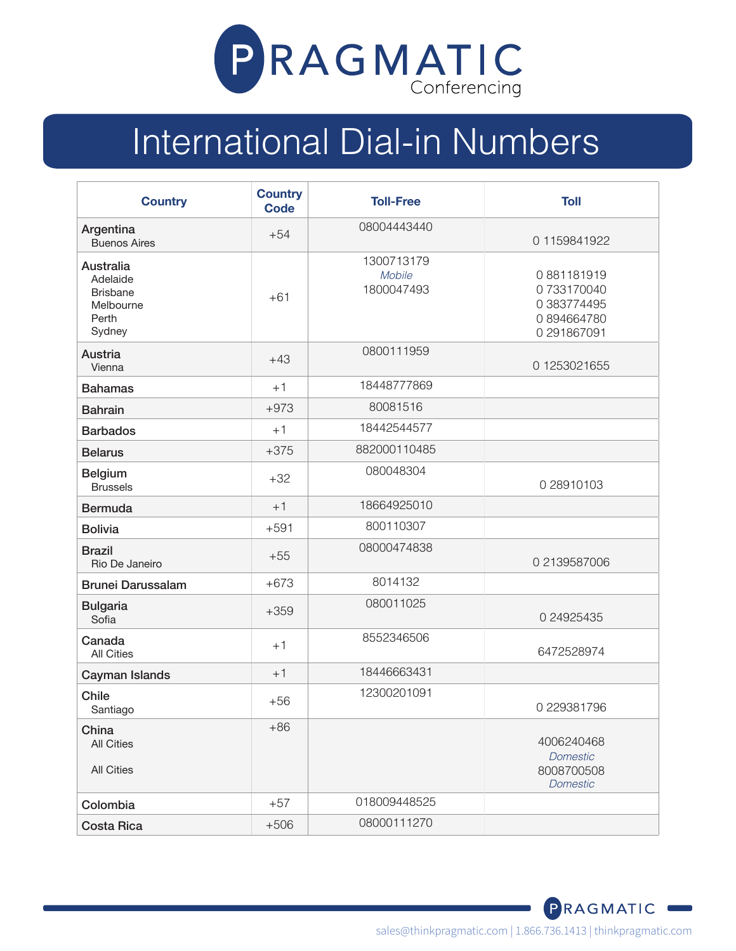

## International Dial-in Numbers

| <b>Country</b>                                                           | <b>Country</b><br><b>Code</b> | <b>Toll-Free</b>                   | <b>Toll</b>                                                          |
|--------------------------------------------------------------------------|-------------------------------|------------------------------------|----------------------------------------------------------------------|
| Argentina<br><b>Buenos Aires</b>                                         | $+54$                         | 08004443440                        | 01159841922                                                          |
| Australia<br>Adelaide<br><b>Brisbane</b><br>Melbourne<br>Perth<br>Sydney | $+61$                         | 1300713179<br>Mobile<br>1800047493 | 0881181919<br>0733170040<br>0 383774495<br>0894664780<br>0 291867091 |
| Austria<br>Vienna                                                        | $+43$                         | 0800111959                         | 01253021655                                                          |
| <b>Bahamas</b>                                                           | $+1$                          | 18448777869                        |                                                                      |
| <b>Bahrain</b>                                                           | $+973$                        | 80081516                           |                                                                      |
| <b>Barbados</b>                                                          | $+1$                          | 18442544577                        |                                                                      |
| <b>Belarus</b>                                                           | $+375$                        | 882000110485                       |                                                                      |
| <b>Belgium</b><br><b>Brussels</b>                                        | $+32$                         | 080048304                          | 0 28910103                                                           |
| <b>Bermuda</b>                                                           | $+1$                          | 18664925010                        |                                                                      |
| <b>Bolivia</b>                                                           | $+591$                        | 800110307                          |                                                                      |
| <b>Brazil</b><br>Rio De Janeiro                                          | $+55$                         | 08000474838                        | 0 2139587006                                                         |
| <b>Brunei Darussalam</b>                                                 | $+673$                        | 8014132                            |                                                                      |
| <b>Bulgaria</b><br>Sofia                                                 | $+359$                        | 080011025                          | 0 24925435                                                           |
| Canada<br><b>All Cities</b>                                              | $+1$                          | 8552346506                         | 6472528974                                                           |
| Cayman Islands                                                           | $+1$                          | 18446663431                        |                                                                      |
| Chile<br>Santiago                                                        | $+56$                         | 12300201091                        | 0 229381796                                                          |
| China<br><b>All Cities</b><br><b>All Cities</b>                          | $+86$                         |                                    | 4006240468<br><b>Domestic</b><br>8008700508<br><b>Domestic</b>       |
| Colombia                                                                 | $+57$                         | 018009448525                       |                                                                      |
| <b>Costa Rica</b>                                                        | $+506$                        | 08000111270                        |                                                                      |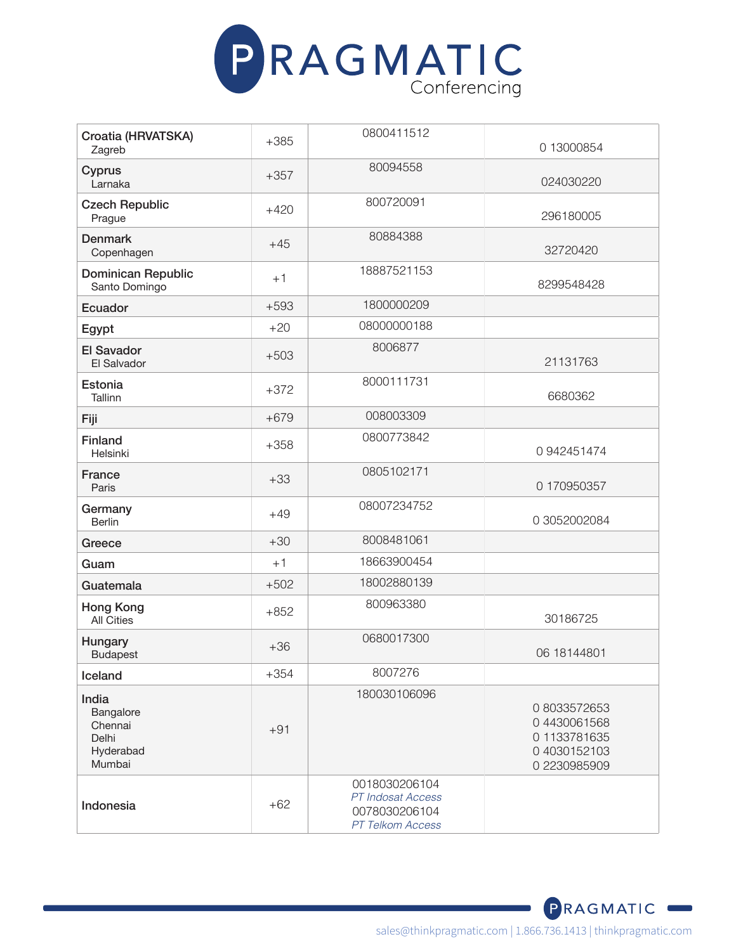

| Croatia (HRVATSKA)<br>Zagreb                                  | $+385$ | 0800411512                                                              | 0 13000854                                                               |
|---------------------------------------------------------------|--------|-------------------------------------------------------------------------|--------------------------------------------------------------------------|
| Cyprus<br>Larnaka                                             | $+357$ | 80094558                                                                | 024030220                                                                |
| <b>Czech Republic</b><br>Prague                               | $+420$ | 800720091                                                               | 296180005                                                                |
| <b>Denmark</b><br>Copenhagen                                  | $+45$  | 80884388                                                                | 32720420                                                                 |
| <b>Dominican Republic</b><br>Santo Domingo                    | $+1$   | 18887521153                                                             | 8299548428                                                               |
| Ecuador                                                       | $+593$ | 1800000209                                                              |                                                                          |
| Egypt                                                         | $+20$  | 08000000188                                                             |                                                                          |
| <b>El Savador</b><br>El Salvador                              | $+503$ | 8006877                                                                 | 21131763                                                                 |
| Estonia<br>Tallinn                                            | $+372$ | 8000111731                                                              | 6680362                                                                  |
| Fiji                                                          | $+679$ | 008003309                                                               |                                                                          |
| <b>Finland</b><br>Helsinki                                    | $+358$ | 0800773842                                                              | 0942451474                                                               |
| France<br>Paris                                               | $+33$  | 0805102171                                                              | 0 170950357                                                              |
| Germany<br><b>Berlin</b>                                      | $+49$  | 08007234752                                                             | 0 3052002084                                                             |
| Greece                                                        | $+30$  | 8008481061                                                              |                                                                          |
| Guam                                                          | $+1$   | 18663900454                                                             |                                                                          |
| Guatemala                                                     | $+502$ | 18002880139                                                             |                                                                          |
| <b>Hong Kong</b><br><b>All Cities</b>                         | $+852$ | 800963380                                                               | 30186725                                                                 |
| Hungary<br><b>Budapest</b>                                    | $+36$  | 0680017300                                                              | 06 18144801                                                              |
| Iceland                                                       | $+354$ | 8007276                                                                 |                                                                          |
| India<br>Bangalore<br>Chennai<br>Delhi<br>Hyderabad<br>Mumbai | $+91$  | 180030106096                                                            | 08033572653<br>04430061568<br>01133781635<br>04030152103<br>0 2230985909 |
| Indonesia                                                     | $+62$  | 0018030206104<br>PT Indosat Access<br>0078030206104<br>PT Telkom Access |                                                                          |

PRAGMATIC<sup>®</sup>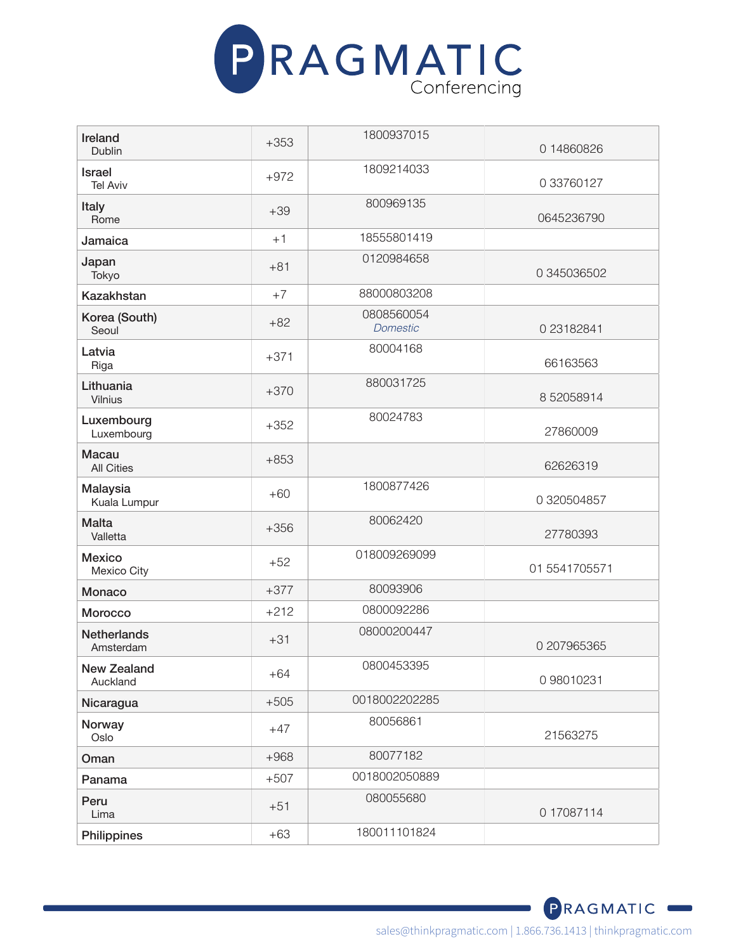

| Ireland<br>Dublin                 | $+353$ | 1800937015                    | 0 14860826    |
|-----------------------------------|--------|-------------------------------|---------------|
|                                   |        | 1809214033                    |               |
| <b>Israel</b><br><b>Tel Aviv</b>  | $+972$ |                               | 0 33760127    |
| Italy<br>Rome                     | $+39$  | 800969135                     | 0645236790    |
| Jamaica                           | $+1$   | 18555801419                   |               |
| Japan<br>Tokyo                    | $+81$  | 0120984658                    | 0 345036502   |
| <b>Kazakhstan</b>                 | $+7$   | 88000803208                   |               |
| Korea (South)<br>Seoul            | $+82$  | 0808560054<br><b>Domestic</b> | 0 23182841    |
| Latvia<br>Riga                    | $+371$ | 80004168                      | 66163563      |
| Lithuania<br>Vilnius              | $+370$ | 880031725                     | 852058914     |
| Luxembourg<br>Luxembourg          | $+352$ | 80024783                      | 27860009      |
| <b>Macau</b><br><b>All Cities</b> | $+853$ |                               | 62626319      |
| Malaysia<br>Kuala Lumpur          | $+60$  | 1800877426                    | 0 320504857   |
| <b>Malta</b><br>Valletta          | $+356$ | 80062420                      | 27780393      |
| <b>Mexico</b><br>Mexico City      | $+52$  | 018009269099                  | 01 5541705571 |
| Monaco                            | $+377$ | 80093906                      |               |
| Morocco                           | $+212$ | 0800092286                    |               |
| <b>Netherlands</b><br>Amsterdam   | $+31$  | 08000200447                   | 0 207965365   |
| <b>New Zealand</b><br>Auckland    | $+64$  | 0800453395                    | 0 98010231    |
| Nicaragua                         | $+505$ | 0018002202285                 |               |
| Norway<br>Oslo                    | $+47$  | 80056861                      | 21563275      |
| Oman                              | $+968$ | 80077182                      |               |
| Panama                            | $+507$ | 0018002050889                 |               |
| Peru<br>Lima                      | $+51$  | 080055680                     | 0 17087114    |
| Philippines                       | $+63$  | 180011101824                  |               |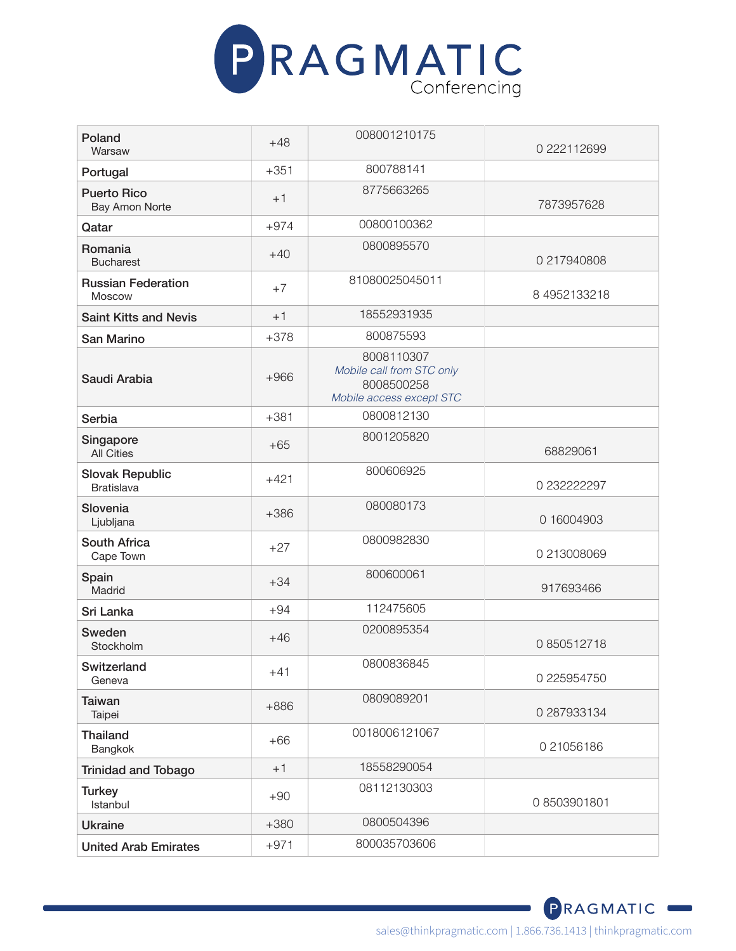

| Poland<br>Warsaw                            | $+48$  | 008001210175                                                                      | 0 222112699  |
|---------------------------------------------|--------|-----------------------------------------------------------------------------------|--------------|
| Portugal                                    | $+351$ | 800788141                                                                         |              |
| <b>Puerto Rico</b><br><b>Bay Amon Norte</b> | $+1$   | 8775663265                                                                        | 7873957628   |
| Qatar                                       | $+974$ | 00800100362                                                                       |              |
| Romania<br><b>Bucharest</b>                 | $+40$  | 0800895570                                                                        | 0 217940808  |
| <b>Russian Federation</b><br>Moscow         | $+7$   | 81080025045011                                                                    | 8 4952133218 |
| <b>Saint Kitts and Nevis</b>                | $+1$   | 18552931935                                                                       |              |
| San Marino                                  | $+378$ | 800875593                                                                         |              |
| Saudi Arabia                                | $+966$ | 8008110307<br>Mobile call from STC only<br>8008500258<br>Mobile access except STC |              |
| Serbia                                      | $+381$ | 0800812130                                                                        |              |
| Singapore<br><b>All Cities</b>              | $+65$  | 8001205820                                                                        | 68829061     |
| <b>Slovak Republic</b><br><b>Bratislava</b> | $+421$ | 800606925                                                                         | 0 232222297  |
| Slovenia<br>Ljubljana                       | $+386$ | 080080173                                                                         | 0 16004903   |
| <b>South Africa</b><br>Cape Town            | $+27$  | 0800982830                                                                        | 0 213008069  |
| Spain<br>Madrid                             | $+34$  | 800600061                                                                         | 917693466    |
| Sri Lanka                                   | $+94$  | 112475605                                                                         |              |
| Sweden<br>Stockholm                         | $+46$  | 0200895354                                                                        | 0850512718   |
| Switzerland<br>Geneva                       | $+41$  | 0800836845                                                                        | 0 225954750  |
| <b>Taiwan</b><br>Taipei                     | $+886$ | 0809089201                                                                        | 0 287933134  |
| <b>Thailand</b><br>Bangkok                  | $+66$  | 0018006121067                                                                     | 021056186    |
| <b>Trinidad and Tobago</b>                  | $+1$   | 18558290054                                                                       |              |
| <b>Turkey</b><br>Istanbul                   | $+90$  | 08112130303                                                                       | 08503901801  |
| <b>Ukraine</b>                              | $+380$ | 0800504396                                                                        |              |
| <b>United Arab Emirates</b>                 | $+971$ | 800035703606                                                                      |              |

sales@thinkpragmatic.com | 1.866.736.1413 | thinkpragmatic.com

PRAGMATIC<sup>®</sup>